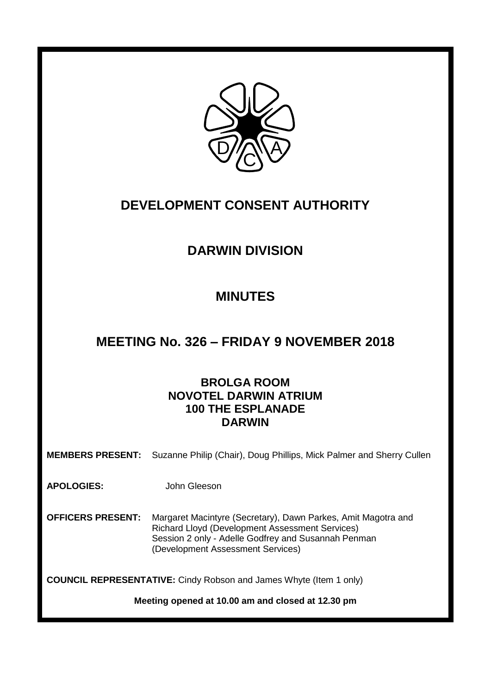

# **DEVELOPMENT CONSENT AUTHORITY**

# **DARWIN DIVISION**

# **MINUTES**

# **MEETING No. 326 – FRIDAY 9 NOVEMBER 2018**

# **BROLGA ROOM NOVOTEL DARWIN ATRIUM 100 THE ESPLANADE DARWIN**

**MEMBERS PRESENT:** Suzanne Philip (Chair), Doug Phillips, Mick Palmer and Sherry Cullen

**APOLOGIES:** John Gleeson

**OFFICERS PRESENT:** Margaret Macintyre (Secretary), Dawn Parkes, Amit Magotra and Richard Lloyd (Development Assessment Services) Session 2 only - Adelle Godfrey and Susannah Penman (Development Assessment Services)

**COUNCIL REPRESENTATIVE:** Cindy Robson and James Whyte (Item 1 only)

**Meeting opened at 10.00 am and closed at 12.30 pm**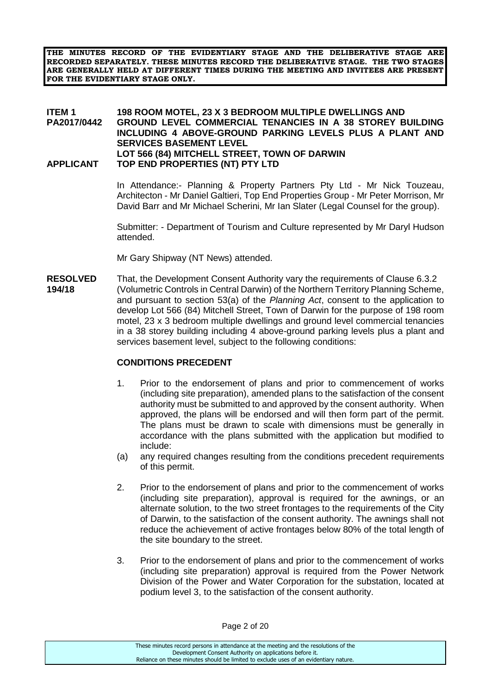**THE MINUTES RECORD OF THE EVIDENTIARY STAGE AND THE DELIBERATIVE STAGE ARE RECORDED SEPARATELY. THESE MINUTES RECORD THE DELIBERATIVE STAGE. THE TWO STAGES ARE GENERALLY HELD AT DIFFERENT TIMES DURING THE MEETING AND INVITEES ARE PRESENT FOR THE EVIDENTIARY STAGE ONLY.**

#### **ITEM 1 198 ROOM MOTEL, 23 X 3 BEDROOM MULTIPLE DWELLINGS AND PA2017/0442 GROUND LEVEL COMMERCIAL TENANCIES IN A 38 STOREY BUILDING INCLUDING 4 ABOVE-GROUND PARKING LEVELS PLUS A PLANT AND SERVICES BASEMENT LEVEL LOT 566 (84) MITCHELL STREET, TOWN OF DARWIN APPLICANT TOP END PROPERTIES (NT) PTY LTD**

In Attendance:- Planning & Property Partners Pty Ltd - Mr Nick Touzeau, Architecton - Mr Daniel Galtieri, Top End Properties Group - Mr Peter Morrison, Mr David Barr and Mr Michael Scherini, Mr Ian Slater (Legal Counsel for the group).

Submitter: - Department of Tourism and Culture represented by Mr Daryl Hudson attended.

Mr Gary Shipway (NT News) attended.

**RESOLVED** That, the Development Consent Authority vary the requirements of Clause 6.3.2 **194/18** (Volumetric Controls in Central Darwin) of the Northern Territory Planning Scheme, and pursuant to section 53(a) of the *Planning Act*, consent to the application to develop Lot 566 (84) Mitchell Street, Town of Darwin for the purpose of 198 room motel, 23 x 3 bedroom multiple dwellings and ground level commercial tenancies in a 38 storey building including 4 above-ground parking levels plus a plant and services basement level, subject to the following conditions:

#### **CONDITIONS PRECEDENT**

- 1. Prior to the endorsement of plans and prior to commencement of works (including site preparation), amended plans to the satisfaction of the consent authority must be submitted to and approved by the consent authority. When approved, the plans will be endorsed and will then form part of the permit. The plans must be drawn to scale with dimensions must be generally in accordance with the plans submitted with the application but modified to include:
- (a) any required changes resulting from the conditions precedent requirements of this permit.
- 2. Prior to the endorsement of plans and prior to the commencement of works (including site preparation), approval is required for the awnings, or an alternate solution, to the two street frontages to the requirements of the City of Darwin, to the satisfaction of the consent authority. The awnings shall not reduce the achievement of active frontages below 80% of the total length of the site boundary to the street.
- 3. Prior to the endorsement of plans and prior to the commencement of works (including site preparation) approval is required from the Power Network Division of the Power and Water Corporation for the substation, located at podium level 3, to the satisfaction of the consent authority.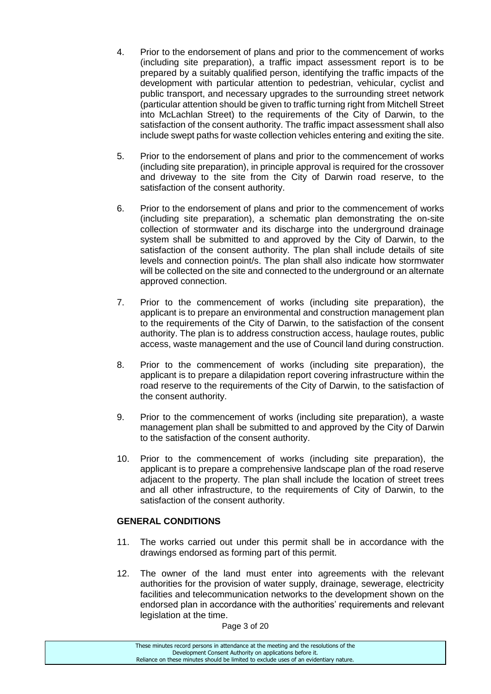- 4. Prior to the endorsement of plans and prior to the commencement of works (including site preparation), a traffic impact assessment report is to be prepared by a suitably qualified person, identifying the traffic impacts of the development with particular attention to pedestrian, vehicular, cyclist and public transport, and necessary upgrades to the surrounding street network (particular attention should be given to traffic turning right from Mitchell Street into McLachlan Street) to the requirements of the City of Darwin, to the satisfaction of the consent authority. The traffic impact assessment shall also include swept paths for waste collection vehicles entering and exiting the site.
- 5. Prior to the endorsement of plans and prior to the commencement of works (including site preparation), in principle approval is required for the crossover and driveway to the site from the City of Darwin road reserve, to the satisfaction of the consent authority.
- 6. Prior to the endorsement of plans and prior to the commencement of works (including site preparation), a schematic plan demonstrating the on-site collection of stormwater and its discharge into the underground drainage system shall be submitted to and approved by the City of Darwin, to the satisfaction of the consent authority. The plan shall include details of site levels and connection point/s. The plan shall also indicate how stormwater will be collected on the site and connected to the underground or an alternate approved connection.
- 7. Prior to the commencement of works (including site preparation), the applicant is to prepare an environmental and construction management plan to the requirements of the City of Darwin, to the satisfaction of the consent authority. The plan is to address construction access, haulage routes, public access, waste management and the use of Council land during construction.
- 8. Prior to the commencement of works (including site preparation), the applicant is to prepare a dilapidation report covering infrastructure within the road reserve to the requirements of the City of Darwin, to the satisfaction of the consent authority.
- 9. Prior to the commencement of works (including site preparation), a waste management plan shall be submitted to and approved by the City of Darwin to the satisfaction of the consent authority.
- 10. Prior to the commencement of works (including site preparation), the applicant is to prepare a comprehensive landscape plan of the road reserve adjacent to the property. The plan shall include the location of street trees and all other infrastructure, to the requirements of City of Darwin, to the satisfaction of the consent authority.

# **GENERAL CONDITIONS**

- 11. The works carried out under this permit shall be in accordance with the drawings endorsed as forming part of this permit.
- 12. The owner of the land must enter into agreements with the relevant authorities for the provision of water supply, drainage, sewerage, electricity facilities and telecommunication networks to the development shown on the endorsed plan in accordance with the authorities' requirements and relevant legislation at the time.

Page 3 of 20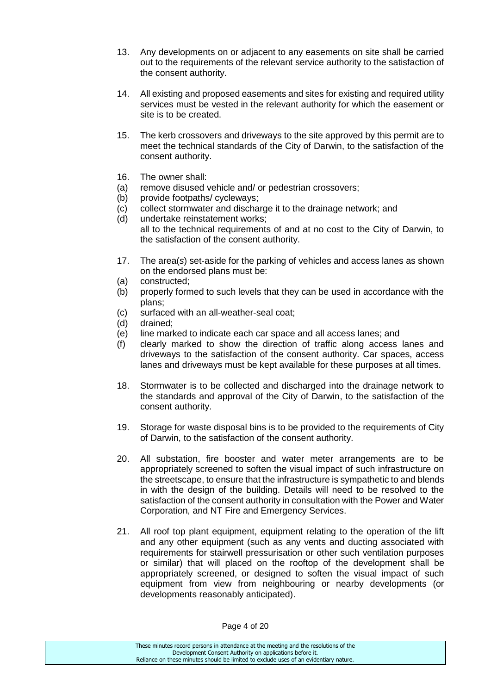- 13. Any developments on or adjacent to any easements on site shall be carried out to the requirements of the relevant service authority to the satisfaction of the consent authority.
- 14. All existing and proposed easements and sites for existing and required utility services must be vested in the relevant authority for which the easement or site is to be created.
- 15. The kerb crossovers and driveways to the site approved by this permit are to meet the technical standards of the City of Darwin, to the satisfaction of the consent authority.
- 16. The owner shall:
- (a) remove disused vehicle and/ or pedestrian crossovers;
- (b) provide footpaths/ cycleways;
- (c) collect stormwater and discharge it to the drainage network; and
- (d) undertake reinstatement works; all to the technical requirements of and at no cost to the City of Darwin, to the satisfaction of the consent authority.
- 17. The area(*s*) set-aside for the parking of vehicles and access lanes as shown on the endorsed plans must be:
- (a) constructed;
- (b) properly formed to such levels that they can be used in accordance with the plans;
- (c) surfaced with an all-weather-seal coat;
- (d) drained;
- (e) line marked to indicate each car space and all access lanes; and
- (f) clearly marked to show the direction of traffic along access lanes and driveways to the satisfaction of the consent authority. Car spaces, access lanes and driveways must be kept available for these purposes at all times.
- 18. Stormwater is to be collected and discharged into the drainage network to the standards and approval of the City of Darwin, to the satisfaction of the consent authority.
- 19. Storage for waste disposal bins is to be provided to the requirements of City of Darwin, to the satisfaction of the consent authority.
- 20. All substation, fire booster and water meter arrangements are to be appropriately screened to soften the visual impact of such infrastructure on the streetscape, to ensure that the infrastructure is sympathetic to and blends in with the design of the building. Details will need to be resolved to the satisfaction of the consent authority in consultation with the Power and Water Corporation, and NT Fire and Emergency Services.
- 21. All roof top plant equipment, equipment relating to the operation of the lift and any other equipment (such as any vents and ducting associated with requirements for stairwell pressurisation or other such ventilation purposes or similar) that will placed on the rooftop of the development shall be appropriately screened, or designed to soften the visual impact of such equipment from view from neighbouring or nearby developments (or developments reasonably anticipated).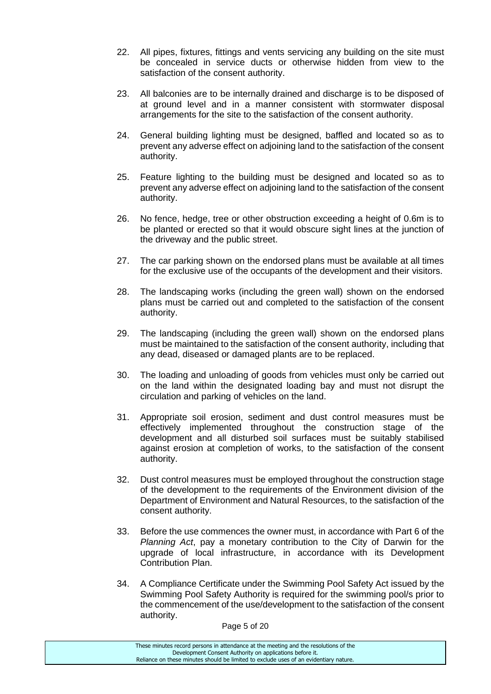- 22. All pipes, fixtures, fittings and vents servicing any building on the site must be concealed in service ducts or otherwise hidden from view to the satisfaction of the consent authority.
- 23. All balconies are to be internally drained and discharge is to be disposed of at ground level and in a manner consistent with stormwater disposal arrangements for the site to the satisfaction of the consent authority.
- 24. General building lighting must be designed, baffled and located so as to prevent any adverse effect on adjoining land to the satisfaction of the consent authority.
- 25. Feature lighting to the building must be designed and located so as to prevent any adverse effect on adjoining land to the satisfaction of the consent authority.
- 26. No fence, hedge, tree or other obstruction exceeding a height of 0.6m is to be planted or erected so that it would obscure sight lines at the junction of the driveway and the public street.
- 27. The car parking shown on the endorsed plans must be available at all times for the exclusive use of the occupants of the development and their visitors.
- 28. The landscaping works (including the green wall) shown on the endorsed plans must be carried out and completed to the satisfaction of the consent authority.
- 29. The landscaping (including the green wall) shown on the endorsed plans must be maintained to the satisfaction of the consent authority, including that any dead, diseased or damaged plants are to be replaced.
- 30. The loading and unloading of goods from vehicles must only be carried out on the land within the designated loading bay and must not disrupt the circulation and parking of vehicles on the land.
- 31. Appropriate soil erosion, sediment and dust control measures must be effectively implemented throughout the construction stage of the development and all disturbed soil surfaces must be suitably stabilised against erosion at completion of works, to the satisfaction of the consent authority.
- 32. Dust control measures must be employed throughout the construction stage of the development to the requirements of the Environment division of the Department of Environment and Natural Resources, to the satisfaction of the consent authority.
- 33. Before the use commences the owner must, in accordance with Part 6 of the *Planning Act*, pay a monetary contribution to the City of Darwin for the upgrade of local infrastructure, in accordance with its Development Contribution Plan.
- 34. A Compliance Certificate under the Swimming Pool Safety Act issued by the Swimming Pool Safety Authority is required for the swimming pool/s prior to the commencement of the use/development to the satisfaction of the consent authority.

Page 5 of 20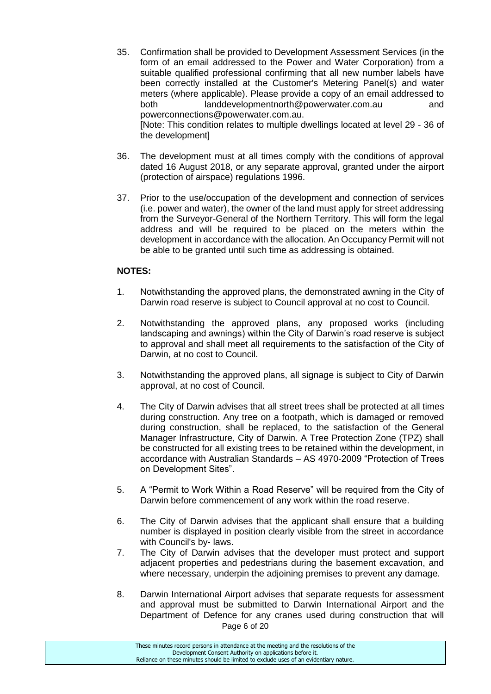35. Confirmation shall be provided to Development Assessment Services (in the form of an email addressed to the Power and Water Corporation) from a suitable qualified professional confirming that all new number labels have been correctly installed at the Customer's Metering Panel(s) and water meters (where applicable). Please provide a copy of an email addressed to both landdevelopmentnorth@powerwater.com.au and powerconnections@powerwater.com.au. [Note: This condition relates to multiple dwellings located at level 29 - 36 of the development]

36. The development must at all times comply with the conditions of approval dated 16 August 2018, or any separate approval, granted under the airport (protection of airspace) regulations 1996.

37. Prior to the use/occupation of the development and connection of services (i.e. power and water), the owner of the land must apply for street addressing from the Surveyor-General of the Northern Territory. This will form the legal address and will be required to be placed on the meters within the development in accordance with the allocation. An Occupancy Permit will not be able to be granted until such time as addressing is obtained.

# **NOTES:**

- 1. Notwithstanding the approved plans, the demonstrated awning in the City of Darwin road reserve is subject to Council approval at no cost to Council.
- 2. Notwithstanding the approved plans, any proposed works (including landscaping and awnings) within the City of Darwin's road reserve is subject to approval and shall meet all requirements to the satisfaction of the City of Darwin, at no cost to Council.
- 3. Notwithstanding the approved plans, all signage is subject to City of Darwin approval, at no cost of Council.
- 4. The City of Darwin advises that all street trees shall be protected at all times during construction. Any tree on a footpath, which is damaged or removed during construction, shall be replaced, to the satisfaction of the General Manager Infrastructure, City of Darwin. A Tree Protection Zone (TPZ) shall be constructed for all existing trees to be retained within the development, in accordance with Australian Standards – AS 4970-2009 "Protection of Trees on Development Sites".
- 5. A "Permit to Work Within a Road Reserve" will be required from the City of Darwin before commencement of any work within the road reserve.
- 6. The City of Darwin advises that the applicant shall ensure that a building number is displayed in position clearly visible from the street in accordance with Council's by- laws.
- 7. The City of Darwin advises that the developer must protect and support adjacent properties and pedestrians during the basement excavation, and where necessary, underpin the adjoining premises to prevent any damage.
- Page 6 of 20 8. Darwin International Airport advises that separate requests for assessment and approval must be submitted to Darwin International Airport and the Department of Defence for any cranes used during construction that will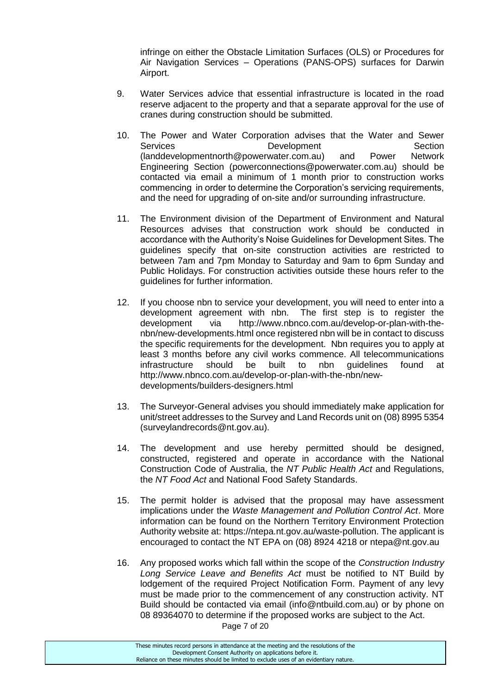infringe on either the Obstacle Limitation Surfaces (OLS) or Procedures for Air Navigation Services – Operations (PANS-OPS) surfaces for Darwin Airport.

- 9. Water Services advice that essential infrastructure is located in the road reserve adjacent to the property and that a separate approval for the use of cranes during construction should be submitted.
- 10. The Power and Water Corporation advises that the Water and Sewer Services **Development** Development Section [\(landdevelopmentnorth@powerwater.com.au\)](mailto:landdevelopmentnorth@powerwater.com.au) and Power Network Engineering Section [\(powerconnections@powerwater.com.au\)](mailto:powerconnections@powerwater.com.au) should be contacted via email a minimum of 1 month prior to construction works commencing in order to determine the Corporation's servicing requirements, and the need for upgrading of on-site and/or surrounding infrastructure.
- 11. The Environment division of the Department of Environment and Natural Resources advises that construction work should be conducted in accordance with the Authority's Noise Guidelines for Development Sites. The guidelines specify that on-site construction activities are restricted to between 7am and 7pm Monday to Saturday and 9am to 6pm Sunday and Public Holidays. For construction activities outside these hours refer to the guidelines for further information.
- 12. If you choose nbn to service your development, you will need to enter into a development agreement with nbn. The first step is to register the development via [http://www.nbnco.com.au/develop-or-plan-with-the](http://www.nbnco.com.au/develop-or-plan-with-the-nbn/new-developments.html)[nbn/new-developments.html](http://www.nbnco.com.au/develop-or-plan-with-the-nbn/new-developments.html) once registered nbn will be in contact to discuss the specific requirements for the development. Nbn requires you to apply at least 3 months before any civil works commence. All telecommunications infrastructure should be built to nbn guidelines found at [http://www.nbnco.com.au/develop-or-plan-with-the-nbn/new](http://www.nbnco.com.au/develop-or-plan-with-the-nbn/new-developments/builders-designers.html)[developments/builders-designers.html](http://www.nbnco.com.au/develop-or-plan-with-the-nbn/new-developments/builders-designers.html)
- 13. The Surveyor-General advises you should immediately make application for unit/street addresses to the Survey and Land Records unit on (08) 8995 5354 [\(surveylandrecords@nt.gov.au\)](mailto:surveylandrecords@nt.gov.au).
- 14. The development and use hereby permitted should be designed, constructed, registered and operate in accordance with the National Construction Code of Australia, the *NT Public Health Act* and Regulations, the *NT Food Act* and National Food Safety Standards.
- 15. The permit holder is advised that the proposal may have assessment implications under the *Waste Management and Pollution Control Act*. More information can be found on the Northern Territory Environment Protection Authority website at: [https://ntepa.nt.gov.au/waste-pollution.](https://ntepa.nt.gov.au/waste-pollution) The applicant is encouraged to contact the NT EPA on (08) 8924 4218 or [ntepa@nt.gov.au](mailto:ntepa@nt.gov.au)
- 16. Any proposed works which fall within the scope of the *Construction Industry Long Service Leave and Benefits Act* must be notified to NT Build by lodgement of the required Project Notification Form. Payment of any levy must be made prior to the commencement of any construction activity. NT Build should be contacted via email (info@ntbuild.com.au) or by phone on 08 89364070 to determine if the proposed works are subject to the Act.

Page 7 of 20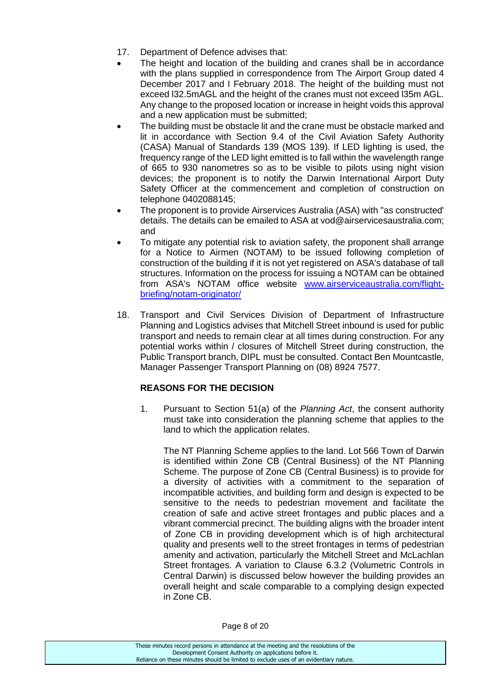- 17. Department of Defence advises that:
- The height and location of the building and cranes shall be in accordance with the plans supplied in correspondence from The Airport Group dated 4 December 2017 and I February 2018. The height of the building must not exceed l32.5mAGL and the height of the cranes must not exceed l35m AGL. Any change to the proposed location or increase in height voids this approval and a new application must be submitted;
- The building must be obstacle lit and the crane must be obstacle marked and lit in accordance with Section 9.4 of the Civil Aviation Safety Authority (CASA) Manual of Standards 139 (MOS 139). If LED lighting is used, the frequency range of the LED light emitted is to fall within the wavelength range of 665 to 930 nanometres so as to be visible to pilots using night vision devices; the proponent is to notify the Darwin International Airport Duty Safety Officer at the commencement and completion of construction on telephone 0402088145;
- The proponent is to provide Airservices Australia (ASA) with "as constructed' details. The details can be emailed to ASA at vod@airservicesaustralia.com; and
- To mitigate any potential risk to aviation safety, the proponent shall arrange for a Notice to Airmen (NOTAM) to be issued following completion of construction of the building if it is not yet registered on ASA's database of tall structures. Information on the process for issuing a NOTAM can be obtained from ASA's NOTAM office website [www.airserviceaustralia.com/flight](http://www.airserviceaustralia.com/flight-briefing/notam-originator/)[briefing/notam-originator/](http://www.airserviceaustralia.com/flight-briefing/notam-originator/)
- 18. Transport and Civil Services Division of Department of Infrastructure Planning and Logistics advises that Mitchell Street inbound is used for public transport and needs to remain clear at all times during construction. For any potential works within / closures of Mitchell Street during construction, the Public Transport branch, DIPL must be consulted. Contact Ben Mountcastle, Manager Passenger Transport Planning on (08) 8924 7577.

# **REASONS FOR THE DECISION**

1. Pursuant to Section 51(a) of the *Planning Act*, the consent authority must take into consideration the planning scheme that applies to the land to which the application relates.

The NT Planning Scheme applies to the land. Lot 566 Town of Darwin is identified within Zone CB (Central Business) of the NT Planning Scheme. The purpose of Zone CB (Central Business) is to provide for a diversity of activities with a commitment to the separation of incompatible activities, and building form and design is expected to be sensitive to the needs to pedestrian movement and facilitate the creation of safe and active street frontages and public places and a vibrant commercial precinct. The building aligns with the broader intent of Zone CB in providing development which is of high architectural quality and presents well to the street frontages in terms of pedestrian amenity and activation, particularly the Mitchell Street and McLachlan Street frontages. A variation to Clause 6.3.2 (Volumetric Controls in Central Darwin) is discussed below however the building provides an overall height and scale comparable to a complying design expected in Zone CB.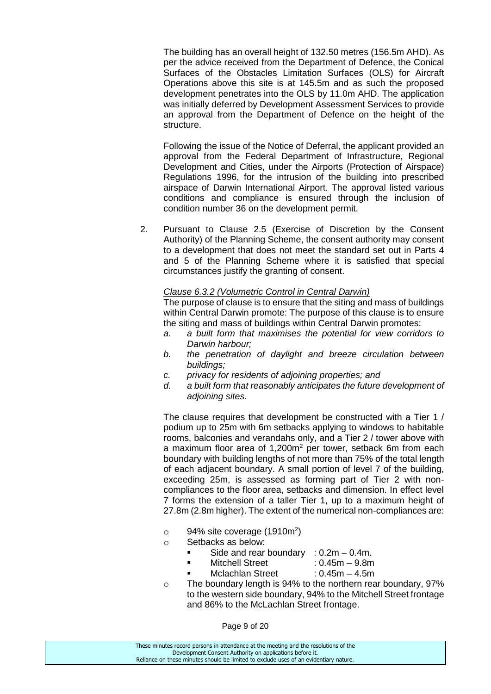The building has an overall height of 132.50 metres (156.5m AHD). As per the advice received from the Department of Defence, the Conical Surfaces of the Obstacles Limitation Surfaces (OLS) for Aircraft Operations above this site is at 145.5m and as such the proposed development penetrates into the OLS by 11.0m AHD. The application was initially deferred by Development Assessment Services to provide an approval from the Department of Defence on the height of the structure.

Following the issue of the Notice of Deferral, the applicant provided an approval from the Federal Department of Infrastructure, Regional Development and Cities, under the Airports (Protection of Airspace) Regulations 1996, for the intrusion of the building into prescribed airspace of Darwin International Airport. The approval listed various conditions and compliance is ensured through the inclusion of condition number 36 on the development permit.

2. Pursuant to Clause 2.5 (Exercise of Discretion by the Consent Authority) of the Planning Scheme, the consent authority may consent to a development that does not meet the standard set out in Parts 4 and 5 of the Planning Scheme where it is satisfied that special circumstances justify the granting of consent.

#### *Clause 6.3.2 (Volumetric Control in Central Darwin)*

The purpose of clause is to ensure that the siting and mass of buildings within Central Darwin promote: The purpose of this clause is to ensure the siting and mass of buildings within Central Darwin promotes:

- *a. a built form that maximises the potential for view corridors to Darwin harbour;*
- *b. the penetration of daylight and breeze circulation between buildings;*
- *c. privacy for residents of adjoining properties; and*
- *d. a built form that reasonably anticipates the future development of adjoining sites.*

The clause requires that development be constructed with a Tier 1 / podium up to 25m with 6m setbacks applying to windows to habitable rooms, balconies and verandahs only, and a Tier 2 / tower above with a maximum floor area of 1,200m<sup>2</sup> per tower, setback 6m from each boundary with building lengths of not more than 75% of the total length of each adjacent boundary. A small portion of level 7 of the building, exceeding 25m, is assessed as forming part of Tier 2 with noncompliances to the floor area, setbacks and dimension. In effect level 7 forms the extension of a taller Tier 1, up to a maximum height of 27.8m (2.8m higher). The extent of the numerical non-compliances are:

- $\circ$  94% site coverage (1910m<sup>2</sup>)
- o Setbacks as below:
	- Side and rear boundary :  $0.2m 0.4m$ .
	- Mitchell Street : 0.45m 9.8m
		- Mclachlan Street : 0.45m 4.5m
- o The boundary length is 94% to the northern rear boundary, 97% to the western side boundary, 94% to the Mitchell Street frontage and 86% to the McLachlan Street frontage.

Page 9 of 20

These minutes record persons in attendance at the meeting and the resolutions of the Development Consent Authority on applications before it. Reliance on these minutes should be limited to exclude uses of an evidentiary nature.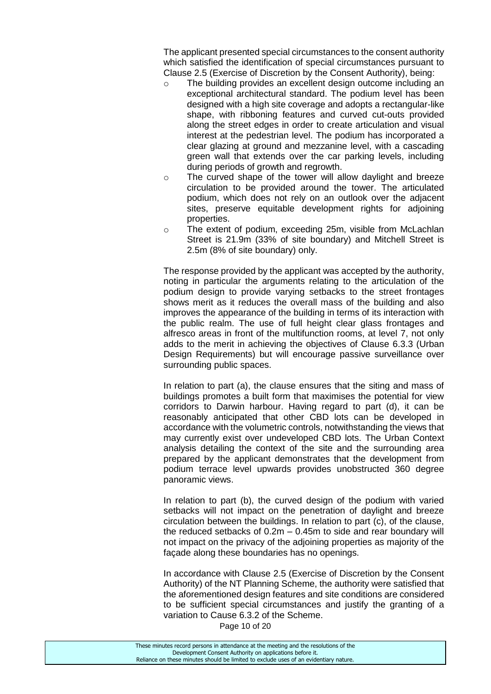The applicant presented special circumstances to the consent authority which satisfied the identification of special circumstances pursuant to Clause 2.5 (Exercise of Discretion by the Consent Authority), being:

- o The building provides an excellent design outcome including an exceptional architectural standard. The podium level has been designed with a high site coverage and adopts a rectangular-like shape, with ribboning features and curved cut-outs provided along the street edges in order to create articulation and visual interest at the pedestrian level. The podium has incorporated a clear glazing at ground and mezzanine level, with a cascading green wall that extends over the car parking levels, including during periods of growth and regrowth.
- o The curved shape of the tower will allow daylight and breeze circulation to be provided around the tower. The articulated podium, which does not rely on an outlook over the adjacent sites, preserve equitable development rights for adioining properties.
- o The extent of podium, exceeding 25m, visible from McLachlan Street is 21.9m (33% of site boundary) and Mitchell Street is 2.5m (8% of site boundary) only.

The response provided by the applicant was accepted by the authority, noting in particular the arguments relating to the articulation of the podium design to provide varying setbacks to the street frontages shows merit as it reduces the overall mass of the building and also improves the appearance of the building in terms of its interaction with the public realm. The use of full height clear glass frontages and alfresco areas in front of the multifunction rooms, at level 7, not only adds to the merit in achieving the objectives of Clause 6.3.3 (Urban Design Requirements) but will encourage passive surveillance over surrounding public spaces.

In relation to part (a), the clause ensures that the siting and mass of buildings promotes a built form that maximises the potential for view corridors to Darwin harbour. Having regard to part (d), it can be reasonably anticipated that other CBD lots can be developed in accordance with the volumetric controls, notwithstanding the views that may currently exist over undeveloped CBD lots. The Urban Context analysis detailing the context of the site and the surrounding area prepared by the applicant demonstrates that the development from podium terrace level upwards provides unobstructed 360 degree panoramic views.

In relation to part (b), the curved design of the podium with varied setbacks will not impact on the penetration of daylight and breeze circulation between the buildings. In relation to part (c), of the clause, the reduced setbacks of 0.2m – 0.45m to side and rear boundary will not impact on the privacy of the adjoining properties as majority of the façade along these boundaries has no openings.

In accordance with Clause 2.5 (Exercise of Discretion by the Consent Authority) of the NT Planning Scheme, the authority were satisfied that the aforementioned design features and site conditions are considered to be sufficient special circumstances and justify the granting of a variation to Cause 6.3.2 of the Scheme.

Page 10 of 20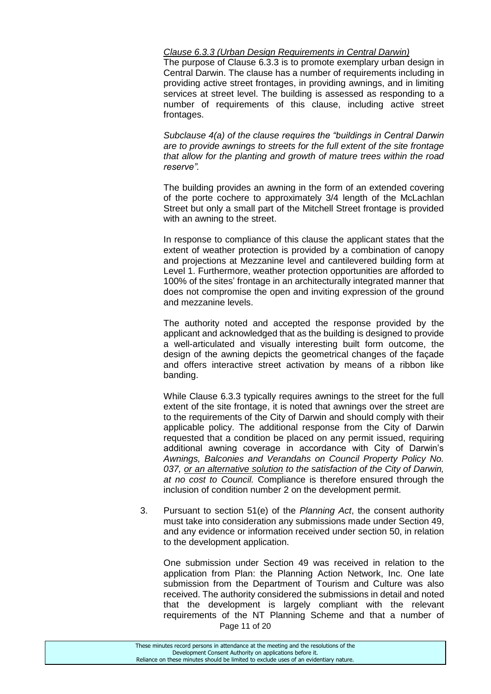#### *Clause 6.3.3 (Urban Design Requirements in Central Darwin)*

The purpose of Clause 6.3.3 is to promote exemplary urban design in Central Darwin. The clause has a number of requirements including in providing active street frontages, in providing awnings, and in limiting services at street level. The building is assessed as responding to a number of requirements of this clause, including active street frontages.

*Subclause 4(a) of the clause requires the "buildings in Central Darwin are to provide awnings to streets for the full extent of the site frontage that allow for the planting and growth of mature trees within the road reserve".*

The building provides an awning in the form of an extended covering of the porte cochere to approximately 3/4 length of the McLachlan Street but only a small part of the Mitchell Street frontage is provided with an awning to the street.

In response to compliance of this clause the applicant states that the extent of weather protection is provided by a combination of canopy and projections at Mezzanine level and cantilevered building form at Level 1. Furthermore, weather protection opportunities are afforded to 100% of the sites' frontage in an architecturally integrated manner that does not compromise the open and inviting expression of the ground and mezzanine levels.

The authority noted and accepted the response provided by the applicant and acknowledged that as the building is designed to provide a well-articulated and visually interesting built form outcome, the design of the awning depicts the geometrical changes of the façade and offers interactive street activation by means of a ribbon like banding.

While Clause 6.3.3 typically requires awnings to the street for the full extent of the site frontage, it is noted that awnings over the street are to the requirements of the City of Darwin and should comply with their applicable policy. The additional response from the City of Darwin requested that a condition be placed on any permit issued, requiring additional awning coverage in accordance with City of Darwin's *Awnings, Balconies and Verandahs on Council Property Policy No. 037, or an alternative solution to the satisfaction of the City of Darwin, at no cost to Council.* Compliance is therefore ensured through the inclusion of condition number 2 on the development permit.

3. Pursuant to section 51(e) of the *Planning Act*, the consent authority must take into consideration any submissions made under Section 49, and any evidence or information received under section 50, in relation to the development application.

Page 11 of 20 One submission under Section 49 was received in relation to the application from Plan: the Planning Action Network, Inc. One late submission from the Department of Tourism and Culture was also received. The authority considered the submissions in detail and noted that the development is largely compliant with the relevant requirements of the NT Planning Scheme and that a number of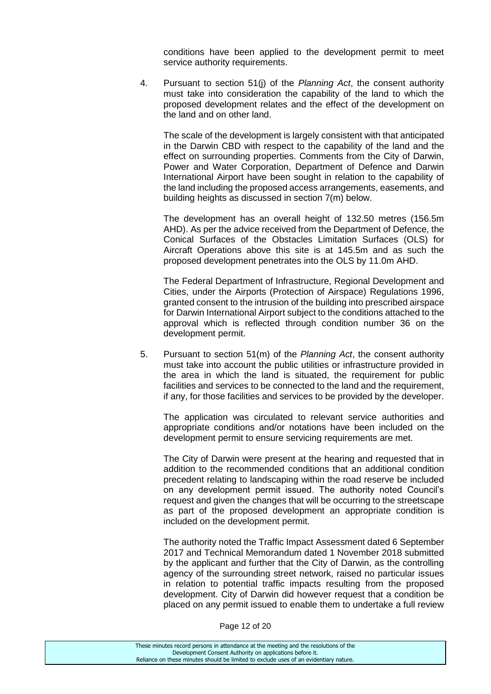conditions have been applied to the development permit to meet service authority requirements.

4. Pursuant to section 51(j) of the *Planning Act*, the consent authority must take into consideration the capability of the land to which the proposed development relates and the effect of the development on the land and on other land.

The scale of the development is largely consistent with that anticipated in the Darwin CBD with respect to the capability of the land and the effect on surrounding properties. Comments from the City of Darwin, Power and Water Corporation, Department of Defence and Darwin International Airport have been sought in relation to the capability of the land including the proposed access arrangements, easements, and building heights as discussed in section 7(m) below.

The development has an overall height of 132.50 metres (156.5m AHD). As per the advice received from the Department of Defence, the Conical Surfaces of the Obstacles Limitation Surfaces (OLS) for Aircraft Operations above this site is at 145.5m and as such the proposed development penetrates into the OLS by 11.0m AHD.

The Federal Department of Infrastructure, Regional Development and Cities, under the Airports (Protection of Airspace) Regulations 1996, granted consent to the intrusion of the building into prescribed airspace for Darwin International Airport subject to the conditions attached to the approval which is reflected through condition number 36 on the development permit.

5. Pursuant to section 51(m) of the *Planning Act*, the consent authority must take into account the public utilities or infrastructure provided in the area in which the land is situated, the requirement for public facilities and services to be connected to the land and the requirement, if any, for those facilities and services to be provided by the developer.

The application was circulated to relevant service authorities and appropriate conditions and/or notations have been included on the development permit to ensure servicing requirements are met.

The City of Darwin were present at the hearing and requested that in addition to the recommended conditions that an additional condition precedent relating to landscaping within the road reserve be included on any development permit issued. The authority noted Council's request and given the changes that will be occurring to the streetscape as part of the proposed development an appropriate condition is included on the development permit.

The authority noted the Traffic Impact Assessment dated 6 September 2017 and Technical Memorandum dated 1 November 2018 submitted by the applicant and further that the City of Darwin, as the controlling agency of the surrounding street network, raised no particular issues in relation to potential traffic impacts resulting from the proposed development. City of Darwin did however request that a condition be placed on any permit issued to enable them to undertake a full review

Page 12 of 20

| These minutes record persons in attendance at the meeting and the resolutions of the  |
|---------------------------------------------------------------------------------------|
| Development Consent Authority on applications before it.                              |
| Reliance on these minutes should be limited to exclude uses of an evidentiary nature. |
|                                                                                       |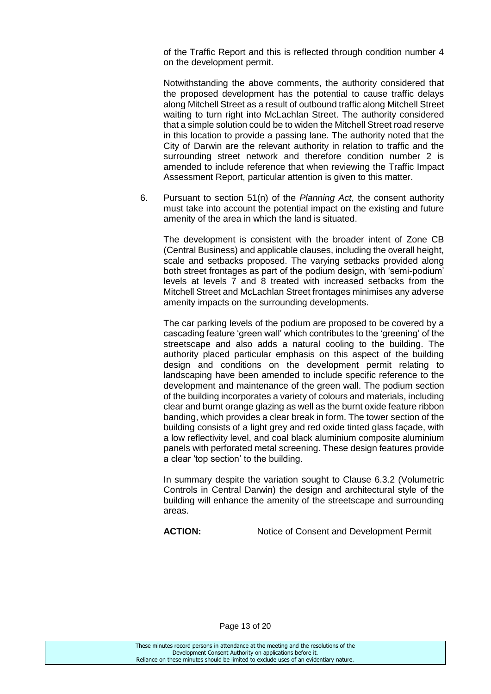of the Traffic Report and this is reflected through condition number 4 on the development permit.

Notwithstanding the above comments, the authority considered that the proposed development has the potential to cause traffic delays along Mitchell Street as a result of outbound traffic along Mitchell Street waiting to turn right into McLachlan Street. The authority considered that a simple solution could be to widen the Mitchell Street road reserve in this location to provide a passing lane. The authority noted that the City of Darwin are the relevant authority in relation to traffic and the surrounding street network and therefore condition number 2 is amended to include reference that when reviewing the Traffic Impact Assessment Report, particular attention is given to this matter.

6. Pursuant to section 51(n) of the *Planning Act*, the consent authority must take into account the potential impact on the existing and future amenity of the area in which the land is situated.

The development is consistent with the broader intent of Zone CB (Central Business) and applicable clauses, including the overall height, scale and setbacks proposed. The varying setbacks provided along both street frontages as part of the podium design, with 'semi-podium' levels at levels 7 and 8 treated with increased setbacks from the Mitchell Street and McLachlan Street frontages minimises any adverse amenity impacts on the surrounding developments.

The car parking levels of the podium are proposed to be covered by a cascading feature 'green wall' which contributes to the 'greening' of the streetscape and also adds a natural cooling to the building. The authority placed particular emphasis on this aspect of the building design and conditions on the development permit relating to landscaping have been amended to include specific reference to the development and maintenance of the green wall. The podium section of the building incorporates a variety of colours and materials, including clear and burnt orange glazing as well as the burnt oxide feature ribbon banding, which provides a clear break in form. The tower section of the building consists of a light grey and red oxide tinted glass façade, with a low reflectivity level, and coal black aluminium composite aluminium panels with perforated metal screening. These design features provide a clear 'top section' to the building.

In summary despite the variation sought to Clause 6.3.2 (Volumetric Controls in Central Darwin) the design and architectural style of the building will enhance the amenity of the streetscape and surrounding areas.

ACTION: Notice of Consent and Development Permit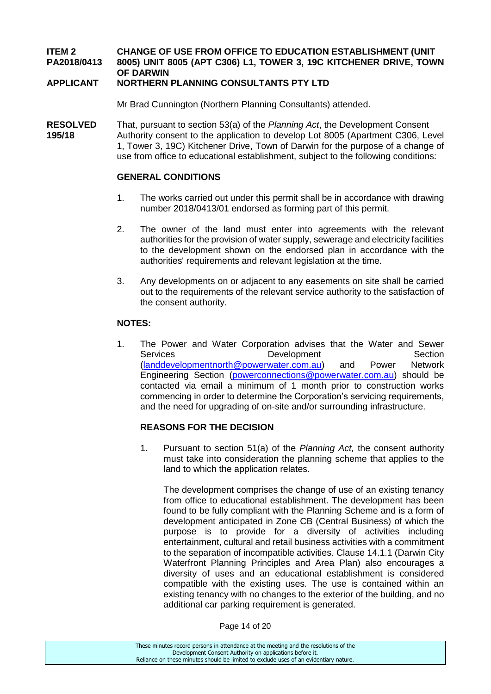### **ITEM 2 CHANGE OF USE FROM OFFICE TO EDUCATION ESTABLISHMENT (UNIT PA2018/0413 8005) UNIT 8005 (APT C306) L1, TOWER 3, 19C KITCHENER DRIVE, TOWN OF DARWIN**

### **APPLICANT NORTHERN PLANNING CONSULTANTS PTY LTD**

Mr Brad Cunnington (Northern Planning Consultants) attended.

**RESOLVED** That, pursuant to section 53(a) of the *Planning Act*, the Development Consent **195/18** Authority consent to the application to develop Lot 8005 (Apartment C306, Level 1, Tower 3, 19C) Kitchener Drive, Town of Darwin for the purpose of a change of use from office to educational establishment, subject to the following conditions:

#### **GENERAL CONDITIONS**

- 1. The works carried out under this permit shall be in accordance with drawing number 2018/0413/01 endorsed as forming part of this permit.
- 2. The owner of the land must enter into agreements with the relevant authorities for the provision of water supply, sewerage and electricity facilities to the development shown on the endorsed plan in accordance with the authorities' requirements and relevant legislation at the time.
- 3. Any developments on or adjacent to any easements on site shall be carried out to the requirements of the relevant service authority to the satisfaction of the consent authority.

#### **NOTES:**

1. The Power and Water Corporation advises that the Water and Sewer Services **Development** Development Section [\(landdevelopmentnorth@powerwater.com.au\)](mailto:landdevelopmentnorth@powerwater.com.au) and Power Network Engineering Section [\(powerconnections@powerwater.com.au\)](mailto:powerconnections@powerwater.com.au) should be contacted via email a minimum of 1 month prior to construction works commencing in order to determine the Corporation's servicing requirements, and the need for upgrading of on-site and/or surrounding infrastructure.

#### **REASONS FOR THE DECISION**

1. Pursuant to section 51(a) of the *Planning Act,* the consent authority must take into consideration the planning scheme that applies to the land to which the application relates.

The development comprises the change of use of an existing tenancy from office to educational establishment. The development has been found to be fully compliant with the Planning Scheme and is a form of development anticipated in Zone CB (Central Business) of which the purpose is to provide for a diversity of activities including entertainment, cultural and retail business activities with a commitment to the separation of incompatible activities. Clause 14.1.1 (Darwin City Waterfront Planning Principles and Area Plan) also encourages a diversity of uses and an educational establishment is considered compatible with the existing uses. The use is contained within an existing tenancy with no changes to the exterior of the building, and no additional car parking requirement is generated.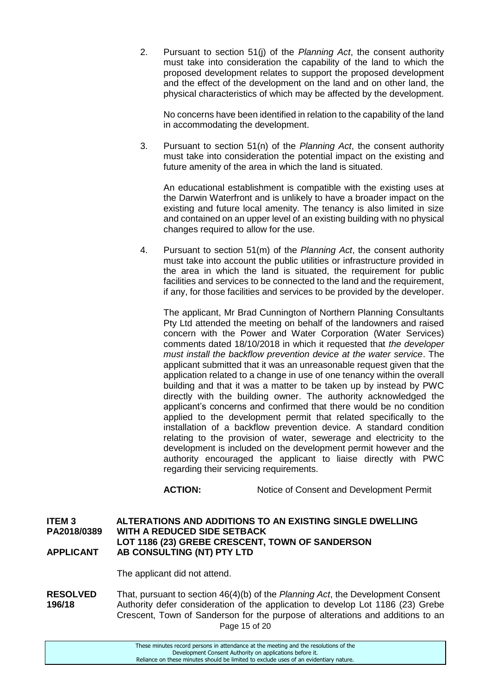2. Pursuant to section 51(j) of the *Planning Act*, the consent authority must take into consideration the capability of the land to which the proposed development relates to support the proposed development and the effect of the development on the land and on other land, the physical characteristics of which may be affected by the development.

No concerns have been identified in relation to the capability of the land in accommodating the development.

3. Pursuant to section 51(n) of the *Planning Act*, the consent authority must take into consideration the potential impact on the existing and future amenity of the area in which the land is situated.

An educational establishment is compatible with the existing uses at the Darwin Waterfront and is unlikely to have a broader impact on the existing and future local amenity. The tenancy is also limited in size and contained on an upper level of an existing building with no physical changes required to allow for the use.

4. Pursuant to section 51(m) of the *Planning Act*, the consent authority must take into account the public utilities or infrastructure provided in the area in which the land is situated, the requirement for public facilities and services to be connected to the land and the requirement, if any, for those facilities and services to be provided by the developer.

The applicant, Mr Brad Cunnington of Northern Planning Consultants Pty Ltd attended the meeting on behalf of the landowners and raised concern with the Power and Water Corporation (Water Services) comments dated 18/10/2018 in which it requested that *the developer must install the backflow prevention device at the water service*. The applicant submitted that it was an unreasonable request given that the application related to a change in use of one tenancy within the overall building and that it was a matter to be taken up by instead by PWC directly with the building owner. The authority acknowledged the applicant's concerns and confirmed that there would be no condition applied to the development permit that related specifically to the installation of a backflow prevention device. A standard condition relating to the provision of water, sewerage and electricity to the development is included on the development permit however and the authority encouraged the applicant to liaise directly with PWC regarding their servicing requirements.

**ACTION:** Notice of Consent and Development Permit

**ITEM 3 ALTERATIONS AND ADDITIONS TO AN EXISTING SINGLE DWELLING PA2018/0389 WITH A REDUCED SIDE SETBACK LOT 1186 (23) GREBE CRESCENT, TOWN OF SANDERSON APPLICANT AB CONSULTING (NT) PTY LTD**

The applicant did not attend.

Page 15 of 20 **RESOLVED** That, pursuant to section 46(4)(b) of the *Planning Act*, the Development Consent **196/18** Authority defer consideration of the application to develop Lot 1186 (23) Grebe Crescent, Town of Sanderson for the purpose of alterations and additions to an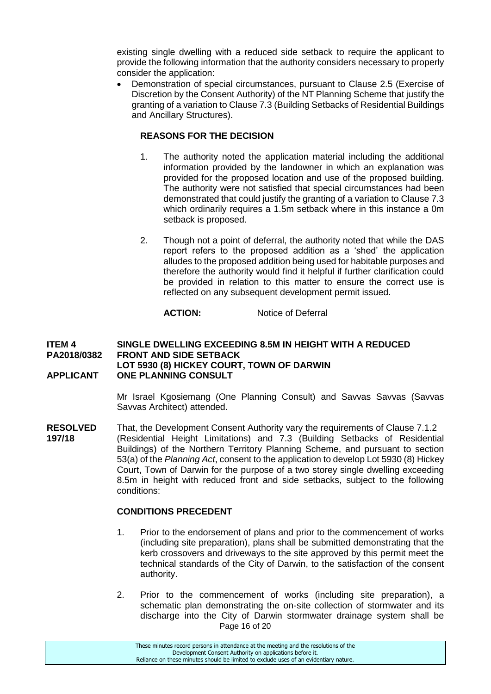existing single dwelling with a reduced side setback to require the applicant to provide the following information that the authority considers necessary to properly consider the application:

 Demonstration of special circumstances, pursuant to Clause 2.5 (Exercise of Discretion by the Consent Authority) of the NT Planning Scheme that justify the granting of a variation to Clause 7.3 (Building Setbacks of Residential Buildings and Ancillary Structures).

# **REASONS FOR THE DECISION**

- 1. The authority noted the application material including the additional information provided by the landowner in which an explanation was provided for the proposed location and use of the proposed building. The authority were not satisfied that special circumstances had been demonstrated that could justify the granting of a variation to Clause 7.3 which ordinarily requires a 1.5m setback where in this instance a 0m setback is proposed.
- 2. Though not a point of deferral, the authority noted that while the DAS report refers to the proposed addition as a 'shed' the application alludes to the proposed addition being used for habitable purposes and therefore the authority would find it helpful if further clarification could be provided in relation to this matter to ensure the correct use is reflected on any subsequent development permit issued.

#### **ACTION:** Notice of Deferral

#### **ITEM 4 SINGLE DWELLING EXCEEDING 8.5M IN HEIGHT WITH A REDUCED PA2018/0382 FRONT AND SIDE SETBACK LOT 5930 (8) HICKEY COURT, TOWN OF DARWIN APPLICANT ONE PLANNING CONSULT**

Mr Israel Kgosiemang (One Planning Consult) and Savvas Savvas (Savvas Savvas Architect) attended.

**RESOLVED** That, the Development Consent Authority vary the requirements of Clause 7.1.2 **197/18** (Residential Height Limitations) and 7.3 (Building Setbacks of Residential Buildings) of the Northern Territory Planning Scheme, and pursuant to section 53(a) of the *Planning Act*, consent to the application to develop Lot 5930 (8) Hickey Court, Town of Darwin for the purpose of a two storey single dwelling exceeding 8.5m in height with reduced front and side setbacks, subject to the following conditions:

#### **CONDITIONS PRECEDENT**

- 1. Prior to the endorsement of plans and prior to the commencement of works (including site preparation), plans shall be submitted demonstrating that the kerb crossovers and driveways to the site approved by this permit meet the technical standards of the City of Darwin, to the satisfaction of the consent authority.
- Page 16 of 20 2. Prior to the commencement of works (including site preparation), a schematic plan demonstrating the on-site collection of stormwater and its discharge into the City of Darwin stormwater drainage system shall be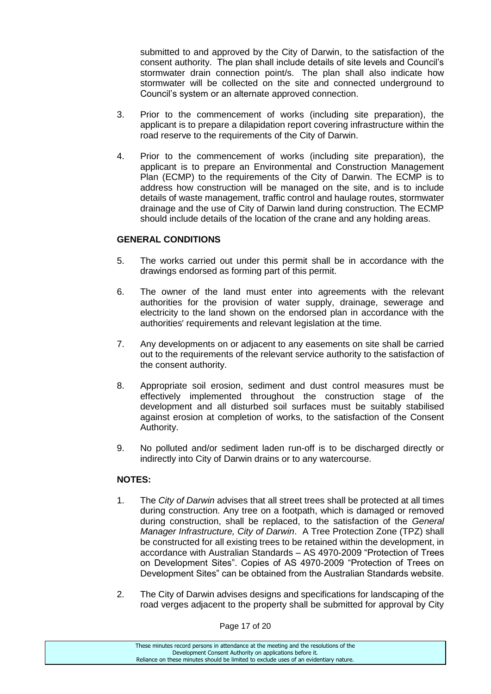submitted to and approved by the City of Darwin, to the satisfaction of the consent authority. The plan shall include details of site levels and Council's stormwater drain connection point/s. The plan shall also indicate how stormwater will be collected on the site and connected underground to Council's system or an alternate approved connection.

- 3. Prior to the commencement of works (including site preparation), the applicant is to prepare a dilapidation report covering infrastructure within the road reserve to the requirements of the City of Darwin.
- 4. Prior to the commencement of works (including site preparation), the applicant is to prepare an Environmental and Construction Management Plan (ECMP) to the requirements of the City of Darwin. The ECMP is to address how construction will be managed on the site, and is to include details of waste management, traffic control and haulage routes, stormwater drainage and the use of City of Darwin land during construction. The ECMP should include details of the location of the crane and any holding areas.

### **GENERAL CONDITIONS**

- 5. The works carried out under this permit shall be in accordance with the drawings endorsed as forming part of this permit.
- 6. The owner of the land must enter into agreements with the relevant authorities for the provision of water supply, drainage, sewerage and electricity to the land shown on the endorsed plan in accordance with the authorities' requirements and relevant legislation at the time.
- 7. Any developments on or adjacent to any easements on site shall be carried out to the requirements of the relevant service authority to the satisfaction of the consent authority.
- 8. Appropriate soil erosion, sediment and dust control measures must be effectively implemented throughout the construction stage of the development and all disturbed soil surfaces must be suitably stabilised against erosion at completion of works, to the satisfaction of the Consent Authority.
- 9. No polluted and/or sediment laden run-off is to be discharged directly or indirectly into City of Darwin drains or to any watercourse.

#### **NOTES:**

- 1. The *City of Darwin* advises that all street trees shall be protected at all times during construction. Any tree on a footpath, which is damaged or removed during construction, shall be replaced, to the satisfaction of the *General Manager Infrastructure, City of Darwin*. A Tree Protection Zone (TPZ) shall be constructed for all existing trees to be retained within the development, in accordance with Australian Standards – AS 4970-2009 "Protection of Trees on Development Sites". Copies of AS 4970-2009 "Protection of Trees on Development Sites" can be obtained from the Australian Standards website.
- 2. The City of Darwin advises designs and specifications for landscaping of the road verges adjacent to the property shall be submitted for approval by City

Page 17 of 20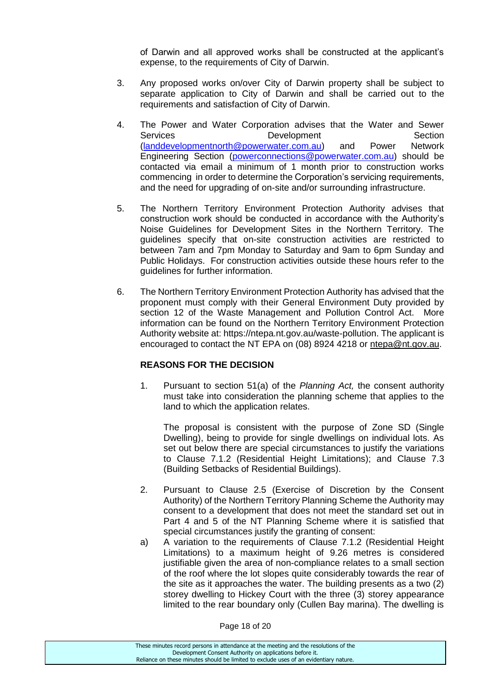of Darwin and all approved works shall be constructed at the applicant's expense, to the requirements of City of Darwin.

- 3. Any proposed works on/over City of Darwin property shall be subject to separate application to City of Darwin and shall be carried out to the requirements and satisfaction of City of Darwin.
- 4. The Power and Water Corporation advises that the Water and Sewer Services **Development** Development Section [\(landdevelopmentnorth@powerwater.com.au\)](mailto:landdevelopmentnorth@powerwater.com.au) and Power Network Engineering Section [\(powerconnections@powerwater.com.au\)](mailto:powerconnections@powerwater.com.au) should be contacted via email a minimum of 1 month prior to construction works commencing in order to determine the Corporation's servicing requirements, and the need for upgrading of on-site and/or surrounding infrastructure.
- 5. The Northern Territory Environment Protection Authority advises that construction work should be conducted in accordance with the Authority's Noise Guidelines for Development Sites in the Northern Territory. The guidelines specify that on-site construction activities are restricted to between 7am and 7pm Monday to Saturday and 9am to 6pm Sunday and Public Holidays. For construction activities outside these hours refer to the guidelines for further information.
- 6. The Northern Territory Environment Protection Authority has advised that the proponent must comply with their General Environment Duty provided by section 12 of the Waste Management and Pollution Control Act. More information can be found on the Northern Territory Environment Protection Authority website at: https://ntepa.nt.gov.au/waste-pollution. The applicant is encouraged to contact the NT EPA on (08) 8924 4218 or [ntepa@nt.gov.au.](mailto:ntepa@nt.gov.au)

# **REASONS FOR THE DECISION**

1. Pursuant to section 51(a) of the *Planning Act,* the consent authority must take into consideration the planning scheme that applies to the land to which the application relates.

The proposal is consistent with the purpose of Zone SD (Single Dwelling), being to provide for single dwellings on individual lots. As set out below there are special circumstances to justify the variations to Clause 7.1.2 (Residential Height Limitations); and Clause 7.3 (Building Setbacks of Residential Buildings).

- 2. Pursuant to Clause 2.5 (Exercise of Discretion by the Consent Authority) of the Northern Territory Planning Scheme the Authority may consent to a development that does not meet the standard set out in Part 4 and 5 of the NT Planning Scheme where it is satisfied that special circumstances justify the granting of consent:
- a) A variation to the requirements of Clause 7.1.2 (Residential Height Limitations) to a maximum height of 9.26 metres is considered justifiable given the area of non-compliance relates to a small section of the roof where the lot slopes quite considerably towards the rear of the site as it approaches the water. The building presents as a two (2) storey dwelling to Hickey Court with the three (3) storey appearance limited to the rear boundary only (Cullen Bay marina). The dwelling is

Page 18 of 20

| These minutes record persons in attendance at the meeting and the resolutions of the  |
|---------------------------------------------------------------------------------------|
| Development Consent Authority on applications before it.                              |
| Reliance on these minutes should be limited to exclude uses of an evidentiary nature. |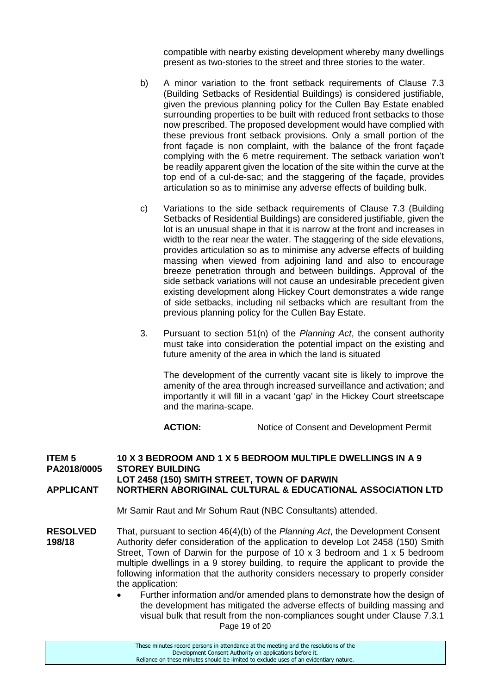compatible with nearby existing development whereby many dwellings present as two-stories to the street and three stories to the water.

- b) A minor variation to the front setback requirements of Clause 7.3 (Building Setbacks of Residential Buildings) is considered justifiable, given the previous planning policy for the Cullen Bay Estate enabled surrounding properties to be built with reduced front setbacks to those now prescribed. The proposed development would have complied with these previous front setback provisions. Only a small portion of the front façade is non complaint, with the balance of the front façade complying with the 6 metre requirement. The setback variation won't be readily apparent given the location of the site within the curve at the top end of a cul-de-sac; and the staggering of the façade, provides articulation so as to minimise any adverse effects of building bulk.
- c) Variations to the side setback requirements of Clause 7.3 (Building Setbacks of Residential Buildings) are considered justifiable, given the lot is an unusual shape in that it is narrow at the front and increases in width to the rear near the water. The staggering of the side elevations, provides articulation so as to minimise any adverse effects of building massing when viewed from adjoining land and also to encourage breeze penetration through and between buildings. Approval of the side setback variations will not cause an undesirable precedent given existing development along Hickey Court demonstrates a wide range of side setbacks, including nil setbacks which are resultant from the previous planning policy for the Cullen Bay Estate.
- 3. Pursuant to section 51(n) of the *Planning Act*, the consent authority must take into consideration the potential impact on the existing and future amenity of the area in which the land is situated

The development of the currently vacant site is likely to improve the amenity of the area through increased surveillance and activation; and importantly it will fill in a vacant 'gap' in the Hickey Court streetscape and the marina-scape.

**ACTION:** Notice of Consent and Development Permit

#### **ITEM 5 10 X 3 BEDROOM AND 1 X 5 BEDROOM MULTIPLE DWELLINGS IN A 9 PA2018/0005 STOREY BUILDING LOT 2458 (150) SMITH STREET, TOWN OF DARWIN APPLICANT NORTHERN ABORIGINAL CULTURAL & EDUCATIONAL ASSOCIATION LTD**

Mr Samir Raut and Mr Sohum Raut (NBC Consultants) attended.

- **RESOLVED** That, pursuant to section 46(4)(b) of the *Planning Act*, the Development Consent **198/18** Authority defer consideration of the application to develop Lot 2458 (150) Smith Street, Town of Darwin for the purpose of 10 x 3 bedroom and 1 x 5 bedroom multiple dwellings in a 9 storey building, to require the applicant to provide the following information that the authority considers necessary to properly consider the application:
	- Page 19 of 20 Further information and/or amended plans to demonstrate how the design of the development has mitigated the adverse effects of building massing and visual bulk that result from the non-compliances sought under Clause 7.3.1